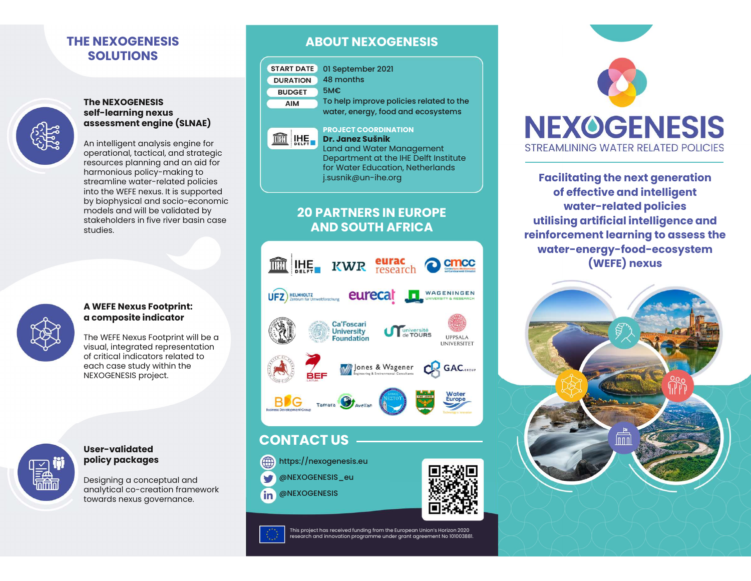# THE NEXOGENESIS SOLUTIONS



# The NEXOGENESIS<br>self-learning nexus E NEXOGENESIS<br>
SOLUTIONS<br>
The NEXOGENESIS<br>
self-learning nexus<br>
assessment engine (SLNAE)<br>
An intelligent analysis engine for<br>
An intelligent analysis engine for<br>
exerctional tectical and strategic

E NEXOGENESIS<br>
SOLUTIONS<br>
The NEXOGENESIS<br>
Self-learning nexus<br>
assessment engine (SLNAE)<br>
An intelligent analysis engine for<br>
Operational, tactical, and strategic<br>
resources planning and an aid for E NEXOGENESIS<br>
SOLUTIONS<br>
The NEXOGENESIS<br>
SENT DATE ON SEPTER TO SEPTER THE NEXOGENESIS<br>
SENT DERIVED AND TO BEPTER<br>
AND TO BEPTER TO BEPTER<br>
An intelligent analysis engine for<br>
An intelligent analysis engine for<br>
Operati operational, tactical, and strategic **SOLUTIONS**<br>
The NEXOGENESIS<br>
The NEXOGENESIS<br>
Self-learning nexus<br>
ansessment engine (SLNAE)<br>
An intelligent analysis engine for<br>
An intelligent analysis engine for<br>
Operational, tactical, and strategic<br>
may be protected The NEXOGENESIS<br>
self-learning nexus<br>
assessment engine (SLNAE)<br>
An intelligent analysis engine for<br>
operational, tactical, and strategic<br>
making and an aid for<br>
harmonious policy-making to<br>
streamline water-related polici The NEXOGENESIS<br>
self-learning nexus<br>
assessment engine (SLNAE)<br>
An intelligent analysis engine for<br>
operational, tactical, and strategic<br>
resources planning and an aid for<br>
harmonious policy-making to<br>
streamline water-r The NEXOGENESIS<br>
self-learning nexus<br>
assessment engine (SLNAE)<br>
An intelligent analysis engine for<br>
operational, tactical, and strategic<br>
resources planning and an aid for<br>
harmonious policy-making to<br>
streamline water-re The NEXOGENESIS<br>
self-learning nexus<br>
assessment engine (SLNAE)<br>
An intelligent analysis engine for<br>
operational, tactical, and strategic<br>
resources planning and an aid for<br>
harmonious policy-making to<br>
streamline water-re The NEXOGENESIS<br>
self-learning nexus<br>
assessment engine (SLNAE)<br>
An intelligent analysis engine for<br>
operational, tactical, and strategic<br>
resources planning and an aid for<br>
harmonious policy-making to<br>
streamline water-re self-learning nexus<br>
assessment engine (SLNAE)<br>
An intelligent analysis engine for<br>
operational, tactical, and strategic<br>
resources planning and an aid for<br>
harmonious policy-making to<br>
streamline water-related policies<br>
i studies.



# A WEFE Nexus Footprint: a composite indicator

NEXOGENESIS project. of critical indicators related to<br>each case study within the<br>NEXOGENESIS project.<br>NEXOGENESIS project.<br>User-validated<br>policy packages<br>Designing a conceptual and<br>analytical co-creation framework<br>towards nexus governance



# User-validated

User-validated<br>policy packages<br>Designing a conceptual and<br>analytical co-creation framework<br>towards nexus governance.

# ABOUT NEXOGENESIS

|                   | <b>ABOUT NEXOGENESIS</b>                               |  |
|-------------------|--------------------------------------------------------|--|
|                   |                                                        |  |
| <b>START DATE</b> | 01 September 2021                                      |  |
| <b>DURATION</b>   | 48 months                                              |  |
| <b>BUDGET</b>     | 5M€                                                    |  |
| <b>AIM</b>        | To help improve policies related to the                |  |
|                   | water, energy, food and ecosystems                     |  |
|                   |                                                        |  |
|                   |                                                        |  |
|                   | <b>PROJECT COORDINATION</b><br><b>Dr. Janez Sušnik</b> |  |

PROJECT COORDINATION<br>**Dr. Janez Sušnik OUT NEXOGENESIS**<br> **01 September 2021**<br>
48 months<br>
5M€<br>
To help improve policies related to the<br>
water, energy, food and ecosystems<br>
PROJECT COORDINATION<br> **Dr. Janez Sušnik**<br>
Land and Water Management<br>
Department at the I Land and Water Management<br>Department at the IHE Delft Institute 01 September 2021<br>48 months<br>5M€<br>To help improve policies related to the<br>water, energy, food and ecosystems<br>PROJECT COORDINATION<br>**Dr. Janez Sušnik**<br>Land and Water Management<br>Department at the IHE Delft Institute<br>for Water for Water Education, Netherlands j.susnik@un-ihe.org

# 20 PARTNERS IN EUROPE







of effective and intelligent **YOGENESIS**<br>
LINING WATER RELATED POLICIES<br> **itating the next generation**<br> **effective and intelligent<br>
water-related policies<br>
ng artificial intelligence and<br>
cement learning to assess the** TREAMLINING WATER RELATED POLICIES<br>
Facilitating the next generation<br>
of effective and intelligent<br>
water-related policies<br>
utilising artificial intelligence and<br>
einforcement learning to assess the<br>
water-energy-food-ecos STREAMLINING WATER RELATED POLICIES<br>
Facilitating the next generation<br>
of effective and intelligent<br>
water-related policies<br>
utilising artificial intelligence and<br>
reinforcement learning to assess the<br>
water-energy-food-ec water-energy-food-ecosystem (WEFE) nexus **AND SOUTH AFRICA AND SOUTH AFRICA EXECUTE A TEND FOUR EXECUTE A EXECUTE A EXECUTE A EXECUTE A EXECUTE A EXECUTE A EXECUTE A EXECUTE A EXECUTE A EXECUTE A EXECUTE A EXECUTE A EXECUTE A EXECUTE**